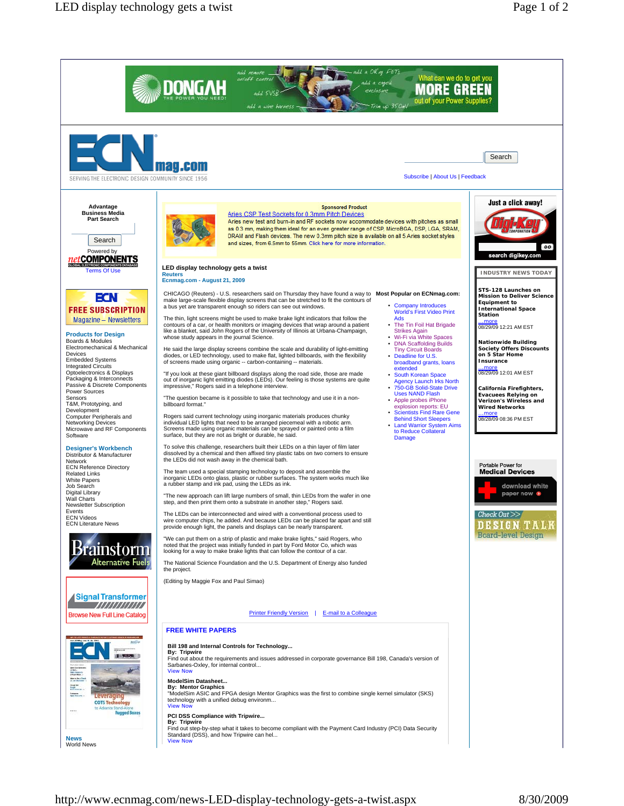